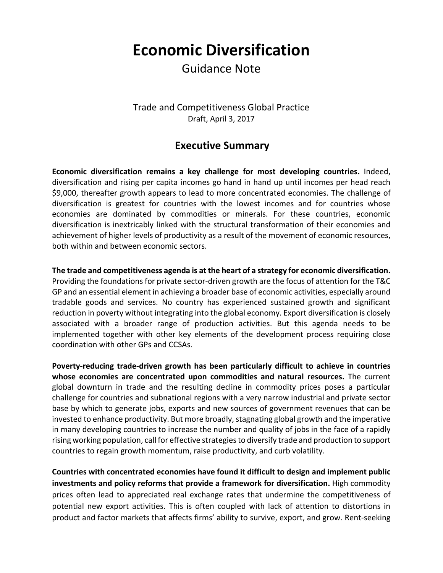**Economic Diversification** 

Guidance Note

Trade and Competitiveness Global Practice Draft, April 3, 2017

# **Executive Summary**

**Economic diversification remains a key challenge for most developing countries.** Indeed, diversification and rising per capita incomes go hand in hand up until incomes per head reach \$9,000, thereafter growth appears to lead to more concentrated economies. The challenge of diversification is greatest for countries with the lowest incomes and for countries whose economies are dominated by commodities or minerals. For these countries, economic diversification is inextricably linked with the structural transformation of their economies and achievement of higher levels of productivity as a result of the movement of economic resources, both within and between economic sectors.

**The trade and competitiveness agenda is at the heart of a strategy for economic diversification.**  Providing the foundations for private sector-driven growth are the focus of attention for the T&C GP and an essential element in achieving a broader base of economic activities, especially around tradable goods and services. No country has experienced sustained growth and significant reduction in poverty without integrating into the global economy. Export diversification is closely associated with a broader range of production activities. But this agenda needs to be implemented together with other key elements of the development process requiring close coordination with other GPs and CCSAs.

**Poverty-reducing trade-driven growth has been particularly difficult to achieve in countries whose economies are concentrated upon commodities and natural resources.** The current global downturn in trade and the resulting decline in commodity prices poses a particular challenge for countries and subnational regions with a very narrow industrial and private sector base by which to generate jobs, exports and new sources of government revenues that can be invested to enhance productivity. But more broadly, stagnating global growth and the imperative in many developing countries to increase the number and quality of jobs in the face of a rapidly rising working population, call for effective strategies to diversify trade and production to support countries to regain growth momentum, raise productivity, and curb volatility.

**Countries with concentrated economies have found it difficult to design and implement public investments and policy reforms that provide a framework for diversification.** High commodity prices often lead to appreciated real exchange rates that undermine the competitiveness of potential new export activities. This is often coupled with lack of attention to distortions in product and factor markets that affects firms' ability to survive, export, and grow. Rent-seeking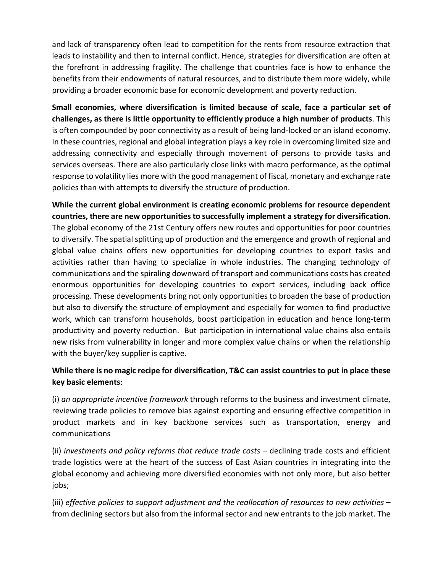and lack of transparency often lead to competition for the rents from resource extraction that leads to instability and then to internal conflict. Hence, strategies for diversification are often at the forefront in addressing fragility. The challenge that countries face is how to enhance the benefits from their endowments of natural resources, and to distribute them more widely, while providing a broader economic base for economic development and poverty reduction.

**Small economies, where diversification is limited because of scale, face a particular set of challenges, as there is little opportunity to efficiently produce a high number of products**. This is often compounded by poor connectivity as a result of being land-locked or an island economy. In these countries, regional and global integration plays a key role in overcoming limited size and addressing connectivity and especially through movement of persons to provide tasks and services overseas. There are also particularly close links with macro performance, as the optimal response to volatility lies more with the good management of fiscal, monetary and exchange rate policies than with attempts to diversify the structure of production.

**While the current global environment is creating economic problems for resource dependent countries, there are new opportunities to successfully implement a strategy for diversification.** The global economy of the 21st Century offers new routes and opportunities for poor countries to diversify. The spatial splitting up of production and the emergence and growth of regional and global value chains offers new opportunities for developing countries to export tasks and activities rather than having to specialize in whole industries. The changing technology of communications and the spiraling downward of transport and communications costs has created enormous opportunities for developing countries to export services, including back office processing. These developments bring not only opportunities to broaden the base of production but also to diversify the structure of employment and especially for women to find productive work, which can transform households, boost participation in education and hence long-term productivity and poverty reduction. But participation in international value chains also entails new risks from vulnerability in longer and more complex value chains or when the relationship with the buyer/key supplier is captive.

### **While there is no magic recipe for diversification, T&C can assist countries to put in place these key basic elements**:

(i) *an appropriate incentive framework* through reforms to the business and investment climate, reviewing trade policies to remove bias against exporting and ensuring effective competition in product markets and in key backbone services such as transportation, energy and communications

(ii) *investments and policy reforms that reduce trade costs* – declining trade costs and efficient trade logistics were at the heart of the success of East Asian countries in integrating into the global economy and achieving more diversified economies with not only more, but also better jobs;

(iii) *effective policies to support adjustment and the reallocation of resources to new activities* – from declining sectors but also from the informal sector and new entrants to the job market. The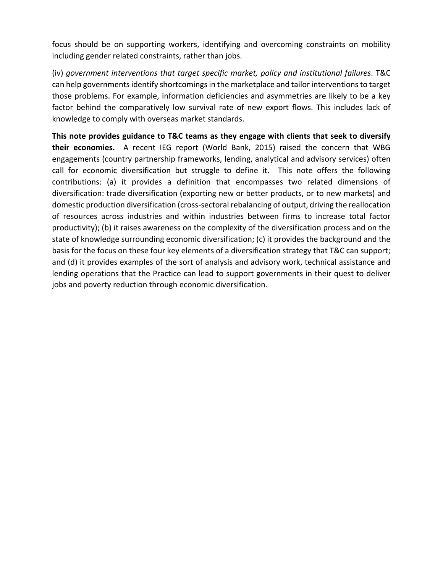focus should be on supporting workers, identifying and overcoming constraints on mobility including gender related constraints, rather than jobs.

(iv) *government interventions that target specific market, policy and institutional failures*. T&C can help governments identify shortcomings in the marketplace and tailor interventions to target those problems. For example, information deficiencies and asymmetries are likely to be a key factor behind the comparatively low survival rate of new export flows. This includes lack of knowledge to comply with overseas market standards.

**This note provides guidance to T&C teams as they engage with clients that seek to diversify their economies.** A recent IEG report (World Bank, 2015) raised the concern that WBG engagements (country partnership frameworks, lending, analytical and advisory services) often call for economic diversification but struggle to define it. This note offers the following contributions: (a) it provides a definition that encompasses two related dimensions of diversification: trade diversification (exporting new or better products, or to new markets) and domestic production diversification (cross-sectoral rebalancing of output, driving the reallocation of resources across industries and within industries between firms to increase total factor productivity); (b) it raises awareness on the complexity of the diversification process and on the state of knowledge surrounding economic diversification; (c) it provides the background and the basis for the focus on these four key elements of a diversification strategy that T&C can support; and (d) it provides examples of the sort of analysis and advisory work, technical assistance and lending operations that the Practice can lead to support governments in their quest to deliver jobs and poverty reduction through economic diversification.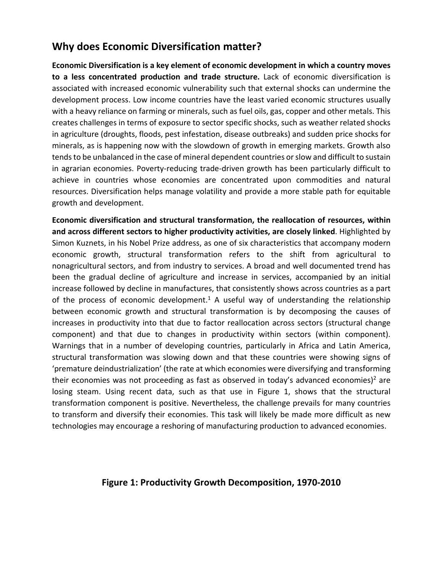# **Why does Economic Diversification matter?**

**Economic Diversification is a key element of economic development in which a country moves to a less concentrated production and trade structure.** Lack of economic diversification is associated with increased economic vulnerability such that external shocks can undermine the development process. Low income countries have the least varied economic structures usually with a heavy reliance on farming or minerals, such as fuel oils, gas, copper and other metals. This creates challenges in terms of exposure to sector specific shocks, such as weather related shocks in agriculture (droughts, floods, pest infestation, disease outbreaks) and sudden price shocks for minerals, as is happening now with the slowdown of growth in emerging markets. Growth also tends to be unbalanced in the case of mineral dependent countries or slow and difficult to sustain in agrarian economies. Poverty-reducing trade-driven growth has been particularly difficult to achieve in countries whose economies are concentrated upon commodities and natural resources. Diversification helps manage volatility and provide a more stable path for equitable growth and development.

**Economic diversification and structural transformation, the reallocation of resources, within and across different sectors to higher productivity activities, are closely linked**. Highlighted by Simon Kuznets, in his Nobel Prize address, as one of six characteristics that accompany modern economic growth, structural transformation refers to the shift from agricultural to nonagricultural sectors, and from industry to services. A broad and well documented trend has been the gradual decline of agriculture and increase in services, accompanied by an initial increase followed by decline in manufactures, that consistently shows across countries as a part of the process of economic development.<sup>1</sup> A useful way of understanding the relationship between economic growth and structural transformation is by decomposing the causes of increases in productivity into that due to factor reallocation across sectors (structural change component) and that due to changes in productivity within sectors (within component). Warnings that in a number of developing countries, particularly in Africa and Latin America, structural transformation was slowing down and that these countries were showing signs of 'premature deindustrialization' (the rate at which economies were diversifying and transforming their economies was not proceeding as fast as observed in today's advanced economies)<sup>2</sup> are losing steam. Using recent data, such as that use in Figure 1, shows that the structural transformation component is positive. Nevertheless, the challenge prevails for many countries to transform and diversify their economies. This task will likely be made more difficult as new technologies may encourage a reshoring of manufacturing production to advanced economies.

### **Figure 1: Productivity Growth Decomposition, 1970-2010**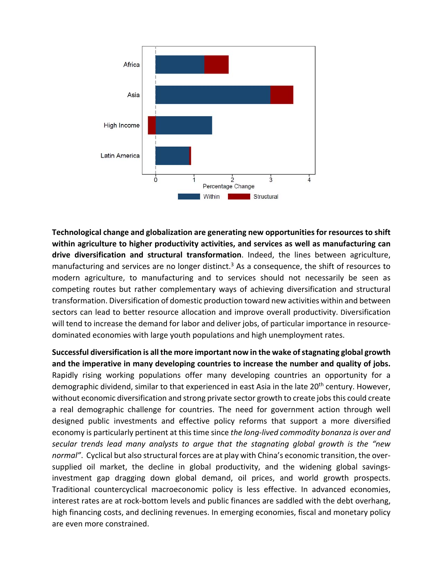

**Technological change and globalization are generating new opportunities for resources to shift within agriculture to higher productivity activities, and services as well as manufacturing can drive diversification and structural transformation**. Indeed, the lines between agriculture, manufacturing and services are no longer distinct.<sup>3</sup> As a consequence, the shift of resources to modern agriculture, to manufacturing and to services should not necessarily be seen as competing routes but rather complementary ways of achieving diversification and structural transformation. Diversification of domestic production toward new activities within and between sectors can lead to better resource allocation and improve overall productivity. Diversification will tend to increase the demand for labor and deliver jobs, of particular importance in resourcedominated economies with large youth populations and high unemployment rates.

**Successful diversification is all the more important now in the wake of stagnating global growth and the imperative in many developing countries to increase the number and quality of jobs.** Rapidly rising working populations offer many developing countries an opportunity for a demographic dividend, similar to that experienced in east Asia in the late 20<sup>th</sup> century. However, without economic diversification and strong private sector growth to create jobs this could create a real demographic challenge for countries. The need for government action through well designed public investments and effective policy reforms that support a more diversified economy is particularly pertinent at this time since *the long-lived commodity bonanza is over and secular trends lead many analysts to argue that the stagnating global growth is the "new normal"*. Cyclical but also structural forces are at play with China's economic transition, the oversupplied oil market, the decline in global productivity, and the widening global savingsinvestment gap dragging down global demand, oil prices, and world growth prospects. Traditional countercyclical macroeconomic policy is less effective. In advanced economies, interest rates are at rock-bottom levels and public finances are saddled with the debt overhang, high financing costs, and declining revenues. In emerging economies, fiscal and monetary policy are even more constrained.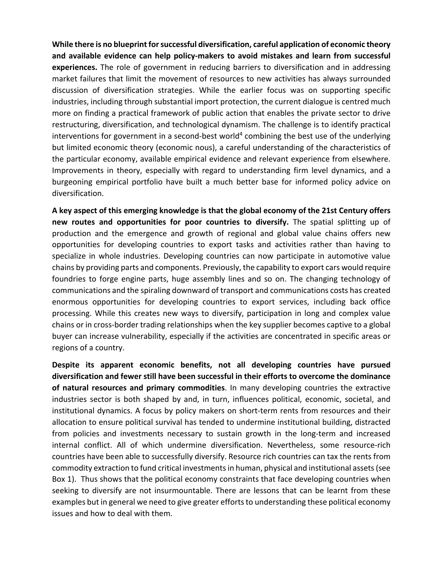**While there is no blueprint for successful diversification, careful application of economic theory and available evidence can help policy-makers to avoid mistakes and learn from successful experiences.** The role of government in reducing barriers to diversification and in addressing market failures that limit the movement of resources to new activities has always surrounded discussion of diversification strategies. While the earlier focus was on supporting specific industries, including through substantial import protection, the current dialogue is centred much more on finding a practical framework of public action that enables the private sector to drive restructuring, diversification, and technological dynamism. The challenge is to identify practical interventions for government in a second-best world<sup>4</sup> combining the best use of the underlying but limited economic theory (economic nous), a careful understanding of the characteristics of the particular economy, available empirical evidence and relevant experience from elsewhere. Improvements in theory, especially with regard to understanding firm level dynamics, and a burgeoning empirical portfolio have built a much better base for informed policy advice on diversification.

**A key aspect of this emerging knowledge is that the global economy of the 21st Century offers new routes and opportunities for poor countries to diversify.** The spatial splitting up of production and the emergence and growth of regional and global value chains offers new opportunities for developing countries to export tasks and activities rather than having to specialize in whole industries. Developing countries can now participate in automotive value chains by providing parts and components. Previously, the capability to export cars would require foundries to forge engine parts, huge assembly lines and so on. The changing technology of communications and the spiraling downward of transport and communications costs has created enormous opportunities for developing countries to export services, including back office processing. While this creates new ways to diversify, participation in long and complex value chains or in cross-border trading relationships when the key supplier becomes captive to a global buyer can increase vulnerability, especially if the activities are concentrated in specific areas or regions of a country.

**Despite its apparent economic benefits, not all developing countries have pursued diversification and fewer still have been successful in their efforts to overcome the dominance of natural resources and primary commodities**. In many developing countries the extractive industries sector is both shaped by and, in turn, influences political, economic, societal, and institutional dynamics. A focus by policy makers on short-term rents from resources and their allocation to ensure political survival has tended to undermine institutional building, distracted from policies and investments necessary to sustain growth in the long-term and increased internal conflict. All of which undermine diversification. Nevertheless, some resource-rich countries have been able to successfully diversify. Resource rich countries can tax the rents from commodity extraction to fund critical investments in human, physical and institutional assets (see Box 1). Thus shows that the political economy constraints that face developing countries when seeking to diversify are not insurmountable. There are lessons that can be learnt from these examples but in general we need to give greater efforts to understanding these political economy issues and how to deal with them.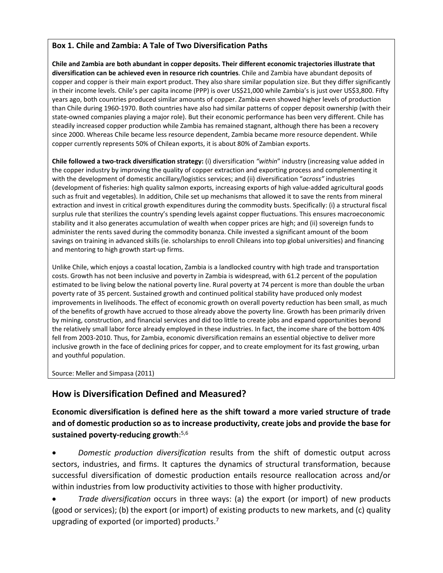### **Box 1. Chile and Zambia: A Tale of Two Diversification Paths**

**Chile and Zambia are both abundant in copper deposits. Their different economic trajectories illustrate that diversification can be achieved even in resource rich countries**. Chile and Zambia have abundant deposits of copper and copper is their main export product. They also share similar population size. But they differ significantly in their income levels. Chile's per capita income (PPP) is over US\$21,000 while Zambia's is just over US\$3,800. Fifty years ago, both countries produced similar amounts of copper. Zambia even showed higher levels of production than Chile during 1960-1970. Both countries have also had similar patterns of copper deposit ownership (with their state-owned companies playing a major role). But their economic performance has been very different. Chile has steadily increased copper production while Zambia has remained stagnant, although there has been a recovery since 2000. Whereas Chile became less resource dependent, Zambia became more resource dependent. While copper currently represents 50% of Chilean exports, it is about 80% of Zambian exports.

**Chile followed a two-track diversification strategy:** (i) diversification *"within*" industry (increasing value added in the copper industry by improving the quality of copper extraction and exporting process and complementing it with the development of domestic ancillary/logistics services; and (ii) diversification "*across"* industries (development of fisheries: high quality salmon exports, increasing exports of high value-added agricultural goods such as fruit and vegetables). In addition, Chile set up mechanisms that allowed it to save the rents from mineral extraction and invest in critical growth expenditures during the commodity busts. Specifically: (i) a structural fiscal surplus rule that sterilizes the country's spending levels against copper fluctuations. This ensures macroeconomic stability and it also generates accumulation of wealth when copper prices are high; and (ii) sovereign funds to administer the rents saved during the commodity bonanza. Chile invested a significant amount of the boom savings on training in advanced skills (ie. scholarships to enroll Chileans into top global universities) and financing and mentoring to high growth start-up firms.

Unlike Chile, which enjoys a coastal location, Zambia is a landlocked country with high trade and transportation costs. Growth has not been inclusive and poverty in Zambia is widespread, with 61.2 percent of the population estimated to be living below the national poverty line. Rural poverty at 74 percent is more than double the urban poverty rate of 35 percent. Sustained growth and continued political stability have produced only modest improvements in livelihoods. The effect of economic growth on overall poverty reduction has been small, as much of the benefits of growth have accrued to those already above the poverty line. Growth has been primarily driven by mining, construction, and financial services and did too little to create jobs and expand opportunities beyond the relatively small labor force already employed in these industries. In fact, the income share of the bottom 40% fell from 2003-2010. Thus, for Zambia, economic diversification remains an essential objective to deliver more inclusive growth in the face of declining prices for copper, and to create employment for its fast growing, urban and youthful population.

Source: Meller and Simpasa (2011)

### **How is Diversification Defined and Measured?**

**Economic diversification is defined here as the shift toward a more varied structure of trade and of domestic production so as to increase productivity, create jobs and provide the base for sustained poverty-reducing growth**: 5,6

 *Domestic production diversification* results from the shift of domestic output across sectors, industries, and firms. It captures the dynamics of structural transformation, because successful diversification of domestic production entails resource reallocation across and/or within industries from low productivity activities to those with higher productivity.

 *Trade diversification* occurs in three ways: (a) the export (or import) of new products (good or services); (b) the export (or import) of existing products to new markets, and (c) quality upgrading of exported (or imported) products. $7$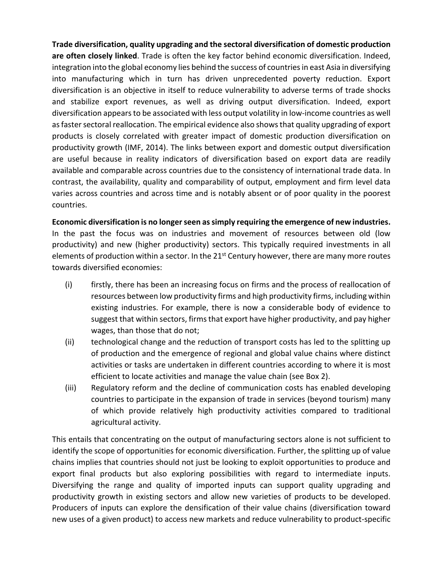**Trade diversification, quality upgrading and the sectoral diversification of domestic production are often closely linked**. Trade is often the key factor behind economic diversification. Indeed, integration into the global economy lies behind the success of countries in east Asia in diversifying into manufacturing which in turn has driven unprecedented poverty reduction. Export diversification is an objective in itself to reduce vulnerability to adverse terms of trade shocks and stabilize export revenues, as well as driving output diversification. Indeed, export diversification appears to be associated with less output volatility in low-income countries as well as faster sectoral reallocation. The empirical evidence also shows that quality upgrading of export products is closely correlated with greater impact of domestic production diversification on productivity growth (IMF, 2014). The links between export and domestic output diversification are useful because in reality indicators of diversification based on export data are readily available and comparable across countries due to the consistency of international trade data. In contrast, the availability, quality and comparability of output, employment and firm level data varies across countries and across time and is notably absent or of poor quality in the poorest countries.

**Economic diversification is no longer seen as simply requiring the emergence of new industries.** In the past the focus was on industries and movement of resources between old (low productivity) and new (higher productivity) sectors. This typically required investments in all elements of production within a sector. In the  $21<sup>st</sup>$  Century however, there are many more routes towards diversified economies:

- (i) firstly, there has been an increasing focus on firms and the process of reallocation of resources between low productivity firms and high productivity firms, including within existing industries. For example, there is now a considerable body of evidence to suggest that within sectors, firms that export have higher productivity, and pay higher wages, than those that do not;
- (ii) technological change and the reduction of transport costs has led to the splitting up of production and the emergence of regional and global value chains where distinct activities or tasks are undertaken in different countries according to where it is most efficient to locate activities and manage the value chain (see Box 2).
- (iii) Regulatory reform and the decline of communication costs has enabled developing countries to participate in the expansion of trade in services (beyond tourism) many of which provide relatively high productivity activities compared to traditional agricultural activity.

This entails that concentrating on the output of manufacturing sectors alone is not sufficient to identify the scope of opportunities for economic diversification. Further, the splitting up of value chains implies that countries should not just be looking to exploit opportunities to produce and export final products but also exploring possibilities with regard to intermediate inputs. Diversifying the range and quality of imported inputs can support quality upgrading and productivity growth in existing sectors and allow new varieties of products to be developed. Producers of inputs can explore the densification of their value chains (diversification toward new uses of a given product) to access new markets and reduce vulnerability to product-specific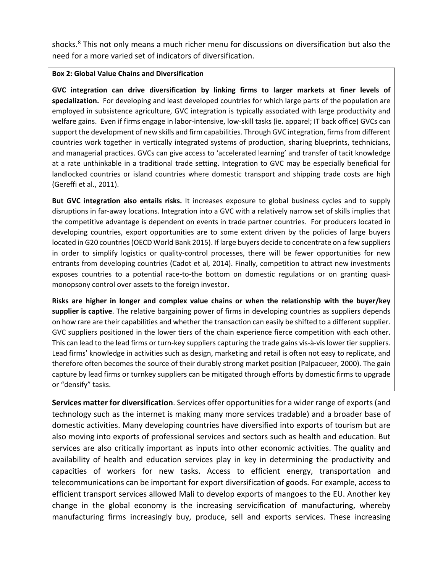shocks.8 This not only means a much richer menu for discussions on diversification but also the need for a more varied set of indicators of diversification.

### **Box 2: Global Value Chains and Diversification**

**GVC integration can drive diversification by linking firms to larger markets at finer levels of specialization.** For developing and least developed countries for which large parts of the population are employed in subsistence agriculture, GVC integration is typically associated with large productivity and welfare gains. Even if firms engage in labor-intensive, low-skill tasks (ie. apparel; IT back office) GVCs can support the development of new skills and firm capabilities. Through GVC integration, firms from different countries work together in vertically integrated systems of production, sharing blueprints, technicians, and managerial practices. GVCs can give access to 'accelerated learning' and transfer of tacit knowledge at a rate unthinkable in a traditional trade setting. Integration to GVC may be especially beneficial for landlocked countries or island countries where domestic transport and shipping trade costs are high (Gereffi et al., 2011).

**But GVC integration also entails risks.** It increases exposure to global business cycles and to supply disruptions in far-away locations. Integration into a GVC with a relatively narrow set of skills implies that the competitive advantage is dependent on events in trade partner countries. For producers located in developing countries, export opportunities are to some extent driven by the policies of large buyers located in G20 countries (OECD World Bank 2015). If large buyers decide to concentrate on a few suppliers in order to simplify logistics or quality-control processes, there will be fewer opportunities for new entrants from developing countries (Cadot et al, 2014). Finally, competition to attract new investments exposes countries to a potential race-to-the bottom on domestic regulations or on granting quasimonopsony control over assets to the foreign investor.

**Risks are higher in longer and complex value chains or when the relationship with the buyer/key supplier is captive**. The relative bargaining power of firms in developing countries as suppliers depends on how rare are their capabilities and whether the transaction can easily be shifted to a different supplier. GVC suppliers positioned in the lower tiers of the chain experience fierce competition with each other. This can lead to the lead firms or turn-key suppliers capturing the trade gains vis-à-vis lower tier suppliers. Lead firms' knowledge in activities such as design, marketing and retail is often not easy to replicate, and therefore often becomes the source of their durably strong market position (Palpacueer, 2000). The gain capture by lead firms or turnkey suppliers can be mitigated through efforts by domestic firms to upgrade or "densify" tasks.

**Services matter for diversification**. Services offer opportunities for a wider range of exports (and technology such as the internet is making many more services tradable) and a broader base of domestic activities. Many developing countries have diversified into exports of tourism but are also moving into exports of professional services and sectors such as health and education. But services are also critically important as inputs into other economic activities. The quality and availability of health and education services play in key in determining the productivity and capacities of workers for new tasks. Access to efficient energy, transportation and telecommunications can be important for export diversification of goods. For example, access to efficient transport services allowed Mali to develop exports of mangoes to the EU. Another key change in the global economy is the increasing servicification of manufacturing, whereby manufacturing firms increasingly buy, produce, sell and exports services. These increasing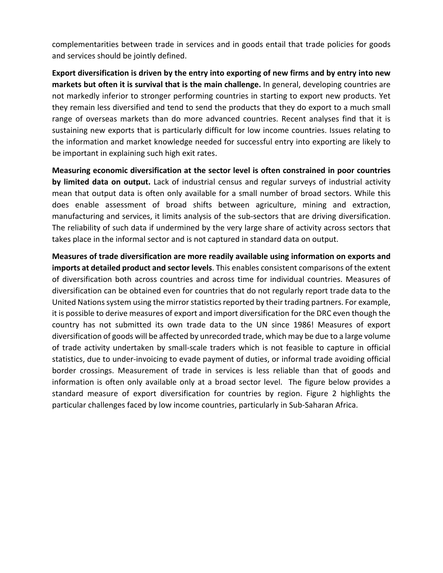complementarities between trade in services and in goods entail that trade policies for goods and services should be jointly defined.

**Export diversification is driven by the entry into exporting of new firms and by entry into new markets but often it is survival that is the main challenge.** In general, developing countries are not markedly inferior to stronger performing countries in starting to export new products. Yet they remain less diversified and tend to send the products that they do export to a much small range of overseas markets than do more advanced countries. Recent analyses find that it is sustaining new exports that is particularly difficult for low income countries. Issues relating to the information and market knowledge needed for successful entry into exporting are likely to be important in explaining such high exit rates.

**Measuring economic diversification at the sector level is often constrained in poor countries by limited data on output.** Lack of industrial census and regular surveys of industrial activity mean that output data is often only available for a small number of broad sectors. While this does enable assessment of broad shifts between agriculture, mining and extraction, manufacturing and services, it limits analysis of the sub-sectors that are driving diversification. The reliability of such data if undermined by the very large share of activity across sectors that takes place in the informal sector and is not captured in standard data on output.

**Measures of trade diversification are more readily available using information on exports and imports at detailed product and sector levels**. This enables consistent comparisons of the extent of diversification both across countries and across time for individual countries. Measures of diversification can be obtained even for countries that do not regularly report trade data to the United Nations system using the mirror statistics reported by their trading partners. For example, it is possible to derive measures of export and import diversification for the DRC even though the country has not submitted its own trade data to the UN since 1986! Measures of export diversification of goods will be affected by unrecorded trade, which may be due to a large volume of trade activity undertaken by small-scale traders which is not feasible to capture in official statistics, due to under-invoicing to evade payment of duties, or informal trade avoiding official border crossings. Measurement of trade in services is less reliable than that of goods and information is often only available only at a broad sector level. The figure below provides a standard measure of export diversification for countries by region. Figure 2 highlights the particular challenges faced by low income countries, particularly in Sub-Saharan Africa.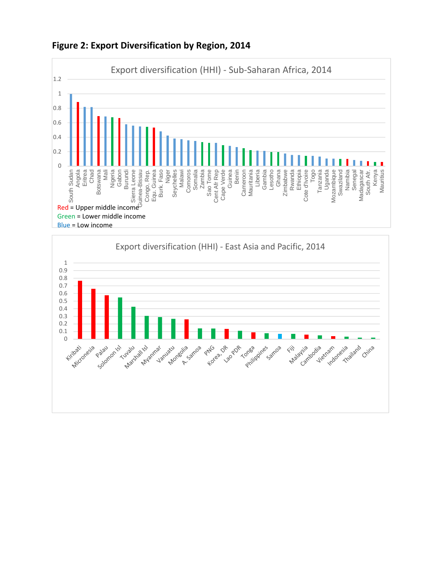



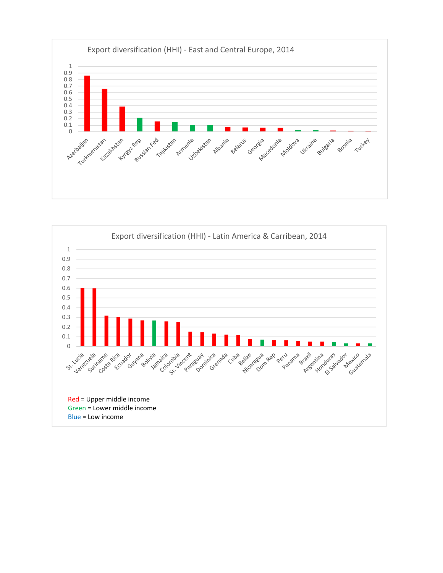![](_page_11_Figure_0.jpeg)

![](_page_11_Figure_1.jpeg)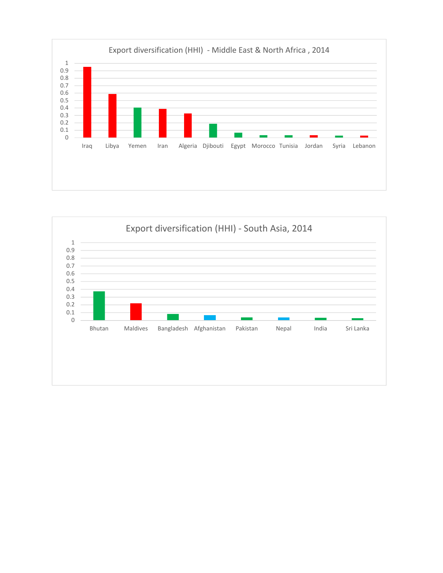![](_page_12_Figure_0.jpeg)

![](_page_12_Figure_1.jpeg)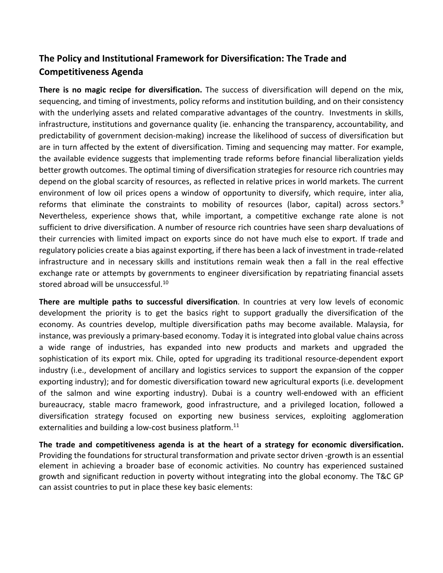# **The Policy and Institutional Framework for Diversification: The Trade and Competitiveness Agenda**

**There is no magic recipe for diversification.** The success of diversification will depend on the mix, sequencing, and timing of investments, policy reforms and institution building, and on their consistency with the underlying assets and related comparative advantages of the country. Investments in skills, infrastructure, institutions and governance quality (ie. enhancing the transparency, accountability, and predictability of government decision-making) increase the likelihood of success of diversification but are in turn affected by the extent of diversification. Timing and sequencing may matter. For example, the available evidence suggests that implementing trade reforms before financial liberalization yields better growth outcomes. The optimal timing of diversification strategies for resource rich countries may depend on the global scarcity of resources, as reflected in relative prices in world markets. The current environment of low oil prices opens a window of opportunity to diversify, which require, inter alia, reforms that eliminate the constraints to mobility of resources (labor, capital) across sectors.<sup>9</sup> Nevertheless, experience shows that, while important, a competitive exchange rate alone is not sufficient to drive diversification. A number of resource rich countries have seen sharp devaluations of their currencies with limited impact on exports since do not have much else to export. If trade and regulatory policies create a bias against exporting, if there has been a lack of investment in trade-related infrastructure and in necessary skills and institutions remain weak then a fall in the real effective exchange rate or attempts by governments to engineer diversification by repatriating financial assets stored abroad will be unsuccessful.<sup>10</sup>

**There are multiple paths to successful diversification**. In countries at very low levels of economic development the priority is to get the basics right to support gradually the diversification of the economy. As countries develop, multiple diversification paths may become available. Malaysia, for instance, was previously a primary-based economy. Today it is integrated into global value chains across a wide range of industries, has expanded into new products and markets and upgraded the sophistication of its export mix. Chile, opted for upgrading its traditional resource-dependent export industry (i.e., development of ancillary and logistics services to support the expansion of the copper exporting industry); and for domestic diversification toward new agricultural exports (i.e. development of the salmon and wine exporting industry). Dubai is a country well-endowed with an efficient bureaucracy, stable macro framework, good infrastructure, and a privileged location, followed a diversification strategy focused on exporting new business services, exploiting agglomeration externalities and building a low-cost business platform.<sup>11</sup>

**The trade and competitiveness agenda is at the heart of a strategy for economic diversification.**  Providing the foundations for structural transformation and private sector driven -growth is an essential element in achieving a broader base of economic activities. No country has experienced sustained growth and significant reduction in poverty without integrating into the global economy. The T&C GP can assist countries to put in place these key basic elements: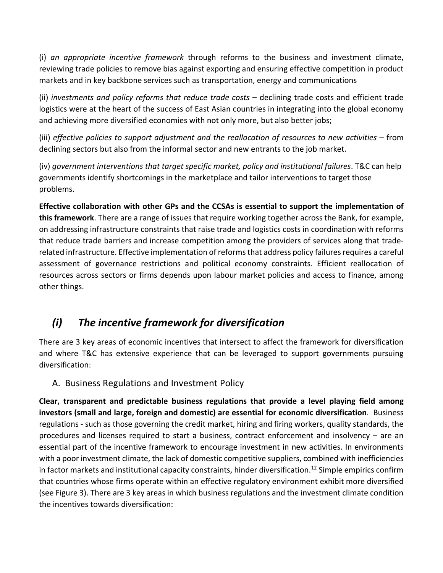(i) *an appropriate incentive framework* through reforms to the business and investment climate, reviewing trade policies to remove bias against exporting and ensuring effective competition in product markets and in key backbone services such as transportation, energy and communications

(ii) *investments and policy reforms that reduce trade costs* – declining trade costs and efficient trade logistics were at the heart of the success of East Asian countries in integrating into the global economy and achieving more diversified economies with not only more, but also better jobs;

(iii) *effective policies to support adjustment and the reallocation of resources to new activities* – from declining sectors but also from the informal sector and new entrants to the job market.

(iv) *government interventions that target specific market, policy and institutional failures*. T&C can help governments identify shortcomings in the marketplace and tailor interventions to target those problems.

**Effective collaboration with other GPs and the CCSAs is essential to support the implementation of this framework**. There are a range of issues that require working together across the Bank, for example, on addressing infrastructure constraints that raise trade and logistics costs in coordination with reforms that reduce trade barriers and increase competition among the providers of services along that traderelated infrastructure. Effective implementation of reforms that address policy failures requires a careful assessment of governance restrictions and political economy constraints. Efficient reallocation of resources across sectors or firms depends upon labour market policies and access to finance, among other things.

# *(i) The incentive framework for diversification*

There are 3 key areas of economic incentives that intersect to affect the framework for diversification and where T&C has extensive experience that can be leveraged to support governments pursuing diversification:

## A. Business Regulations and Investment Policy

**Clear, transparent and predictable business regulations that provide a level playing field among investors (small and large, foreign and domestic) are essential for economic diversification**. Business regulations - such as those governing the credit market, hiring and firing workers, quality standards, the procedures and licenses required to start a business, contract enforcement and insolvency – are an essential part of the incentive framework to encourage investment in new activities. In environments with a poor investment climate, the lack of domestic competitive suppliers, combined with inefficiencies in factor markets and institutional capacity constraints, hinder diversification.<sup>12</sup> Simple empirics confirm that countries whose firms operate within an effective regulatory environment exhibit more diversified (see Figure 3). There are 3 key areas in which business regulations and the investment climate condition the incentives towards diversification: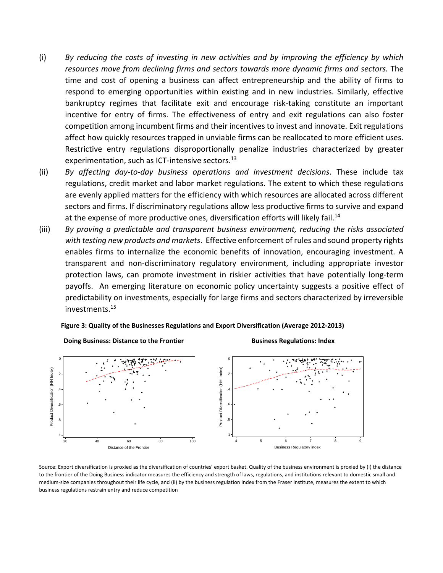- (i) *By reducing the costs of investing in new activities and by improving the efficiency by which resources move from declining firms and sectors towards more dynamic firms and sectors.* The time and cost of opening a business can affect entrepreneurship and the ability of firms to respond to emerging opportunities within existing and in new industries. Similarly, effective bankruptcy regimes that facilitate exit and encourage risk-taking constitute an important incentive for entry of firms. The effectiveness of entry and exit regulations can also foster competition among incumbent firms and their incentives to invest and innovate. Exit regulations affect how quickly resources trapped in unviable firms can be reallocated to more efficient uses. Restrictive entry regulations disproportionally penalize industries characterized by greater experimentation, such as ICT-intensive sectors.<sup>13</sup>
- (ii) *By affecting day-to-day business operations and investment decisions*. These include tax regulations, credit market and labor market regulations. The extent to which these regulations are evenly applied matters for the efficiency with which resources are allocated across different sectors and firms. If discriminatory regulations allow less productive firms to survive and expand at the expense of more productive ones, diversification efforts will likely fail.<sup>14</sup>
- (iii) *By proving a predictable and transparent business environment, reducing the risks associated with testing new products and markets*. Effective enforcement of rules and sound property rights enables firms to internalize the economic benefits of innovation, encouraging investment. A transparent and non-discriminatory regulatory environment, including appropriate investor protection laws, can promote investment in riskier activities that have potentially long-term payoffs. An emerging literature on economic policy uncertainty suggests a positive effect of predictability on investments, especially for large firms and sectors characterized by irreversible investments.15

![](_page_15_Figure_3.jpeg)

![](_page_15_Figure_4.jpeg)

#### **Doing Business: Distance to the Frontier Mateur Austices Regulations: Index Business Regulations: Index**

![](_page_15_Figure_7.jpeg)

Source: Export diversification is proxied as the diversification of countries' export basket. Quality of the business environment is proxied by (i) the distance to the frontier of the Doing Business indicator measures the efficiency and strength of laws, regulations, and institutions relevant to domestic small and medium-size companies throughout their life cycle, and (ii) by the business regulation index from the Fraser institute, measures the extent to which business regulations restrain entry and reduce competition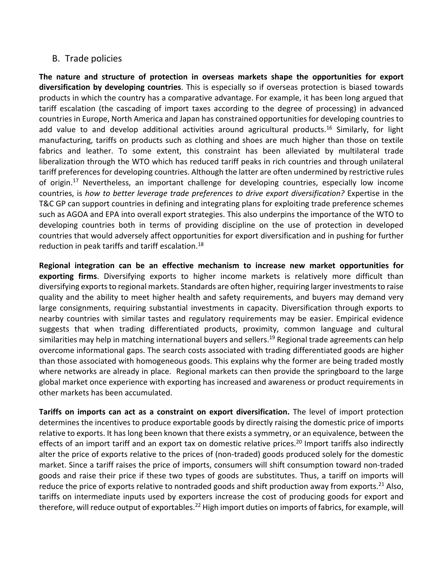### B. Trade policies

**The nature and structure of protection in overseas markets shape the opportunities for export diversification by developing countries**. This is especially so if overseas protection is biased towards products in which the country has a comparative advantage. For example, it has been long argued that tariff escalation (the cascading of import taxes according to the degree of processing) in advanced countries in Europe, North America and Japan has constrained opportunities for developing countries to add value to and develop additional activities around agricultural products.<sup>16</sup> Similarly, for light manufacturing, tariffs on products such as clothing and shoes are much higher than those on textile fabrics and leather. To some extent, this constraint has been alleviated by multilateral trade liberalization through the WTO which has reduced tariff peaks in rich countries and through unilateral tariff preferences for developing countries. Although the latter are often undermined by restrictive rules of origin.17 Nevertheless, an important challenge for developing countries, especially low income countries, is *how to better leverage trade preferences to drive export diversification?* Expertise in the T&C GP can support countries in defining and integrating plans for exploiting trade preference schemes such as AGOA and EPA into overall export strategies. This also underpins the importance of the WTO to developing countries both in terms of providing discipline on the use of protection in developed countries that would adversely affect opportunities for export diversification and in pushing for further reduction in peak tariffs and tariff escalation.<sup>18</sup>

**Regional integration can be an effective mechanism to increase new market opportunities for exporting firms**. Diversifying exports to higher income markets is relatively more difficult than diversifying exports to regional markets. Standards are often higher, requiring larger investments to raise quality and the ability to meet higher health and safety requirements, and buyers may demand very large consignments, requiring substantial investments in capacity. Diversification through exports to nearby countries with similar tastes and regulatory requirements may be easier. Empirical evidence suggests that when trading differentiated products, proximity, common language and cultural similarities may help in matching international buyers and sellers.<sup>19</sup> Regional trade agreements can help overcome informational gaps. The search costs associated with trading differentiated goods are higher than those associated with homogeneous goods. This explains why the former are being traded mostly where networks are already in place. Regional markets can then provide the springboard to the large global market once experience with exporting has increased and awareness or product requirements in other markets has been accumulated.

**Tariffs on imports can act as a constraint on export diversification.** The level of import protection determines the incentives to produce exportable goods by directly raising the domestic price of imports relative to exports. It has long been known that there exists a symmetry, or an equivalence, between the effects of an import tariff and an export tax on domestic relative prices.<sup>20</sup> Import tariffs also indirectly alter the price of exports relative to the prices of (non-traded) goods produced solely for the domestic market. Since a tariff raises the price of imports, consumers will shift consumption toward non-traded goods and raise their price if these two types of goods are substitutes. Thus, a tariff on imports will reduce the price of exports relative to nontraded goods and shift production away from exports.<sup>21</sup> Also, tariffs on intermediate inputs used by exporters increase the cost of producing goods for export and therefore, will reduce output of exportables.<sup>22</sup> High import duties on imports of fabrics, for example, will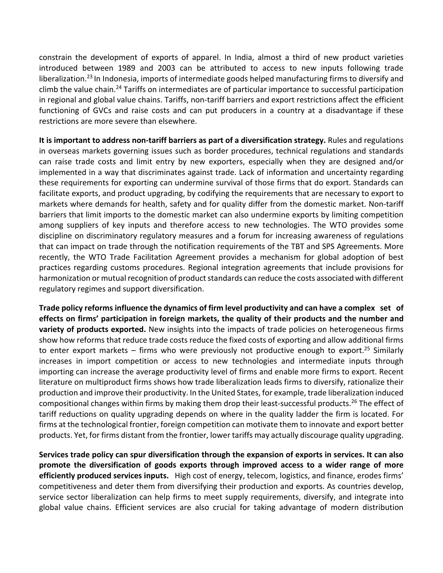constrain the development of exports of apparel. In India, almost a third of new product varieties introduced between 1989 and 2003 can be attributed to access to new inputs following trade liberalization.23 In Indonesia, imports of intermediate goods helped manufacturing firms to diversify and climb the value chain.24 Tariffs on intermediates are of particular importance to successful participation in regional and global value chains. Tariffs, non-tariff barriers and export restrictions affect the efficient functioning of GVCs and raise costs and can put producers in a country at a disadvantage if these restrictions are more severe than elsewhere.

**It is important to address non-tariff barriers as part of a diversification strategy.** Rules and regulations in overseas markets governing issues such as border procedures, technical regulations and standards can raise trade costs and limit entry by new exporters, especially when they are designed and/or implemented in a way that discriminates against trade. Lack of information and uncertainty regarding these requirements for exporting can undermine survival of those firms that do export. Standards can facilitate exports, and product upgrading, by codifying the requirements that are necessary to export to markets where demands for health, safety and for quality differ from the domestic market. Non-tariff barriers that limit imports to the domestic market can also undermine exports by limiting competition among suppliers of key inputs and therefore access to new technologies. The WTO provides some discipline on discriminatory regulatory measures and a forum for increasing awareness of regulations that can impact on trade through the notification requirements of the TBT and SPS Agreements. More recently, the WTO Trade Facilitation Agreement provides a mechanism for global adoption of best practices regarding customs procedures. Regional integration agreements that include provisions for harmonization or mutual recognition of product standards can reduce the costs associated with different regulatory regimes and support diversification.

**Trade policy reforms influence the dynamics of firm level productivity and can have a complex set of effects on firms' participation in foreign markets, the quality of their products and the number and variety of products exported.** New insights into the impacts of trade policies on heterogeneous firms show how reforms that reduce trade costs reduce the fixed costs of exporting and allow additional firms to enter export markets – firms who were previously not productive enough to export.<sup>25</sup> Similarly increases in import competition or access to new technologies and intermediate inputs through importing can increase the average productivity level of firms and enable more firms to export. Recent literature on multiproduct firms shows how trade liberalization leads firms to diversify, rationalize their production and improve their productivity. In the United States, for example, trade liberalization induced compositional changes within firms by making them drop their least-successful products.26 The effect of tariff reductions on quality upgrading depends on where in the quality ladder the firm is located. For firms at the technological frontier, foreign competition can motivate them to innovate and export better products. Yet, for firms distant from the frontier, lower tariffs may actually discourage quality upgrading.

**Services trade policy can spur diversification through the expansion of exports in services. It can also promote the diversification of goods exports through improved access to a wider range of more efficiently produced services inputs.** High cost of energy, telecom, logistics, and finance, erodes firms' competitiveness and deter them from diversifying their production and exports. As countries develop, service sector liberalization can help firms to meet supply requirements, diversify, and integrate into global value chains. Efficient services are also crucial for taking advantage of modern distribution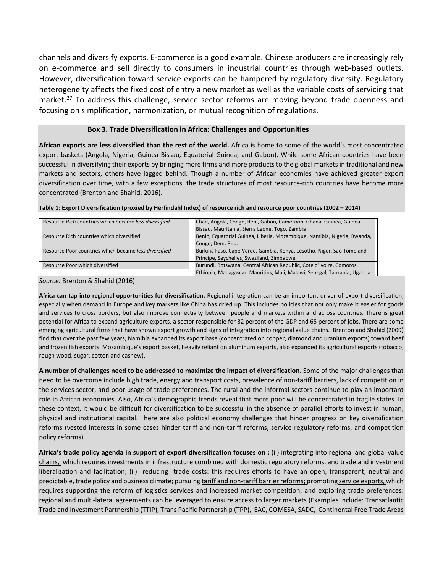channels and diversify exports. E-commerce is a good example. Chinese producers are increasingly rely on e-commerce and sell directly to consumers in industrial countries through web-based outlets. However, diversification toward service exports can be hampered by regulatory diversity. Regulatory heterogeneity affects the fixed cost of entry a new market as well as the variable costs of servicing that market.<sup>27</sup> To address this challenge, service sector reforms are moving beyond trade openness and focusing on simplification, harmonization, or mutual recognition of regulations.

#### **Box 3. Trade Diversification in Africa: Challenges and Opportunities**

**African exports are less diversified than the rest of the world.** Africa is home to some of the world's most concentrated export baskets (Angola, Nigeria, Guinea Bissau, Equatorial Guinea, and Gabon). While some African countries have been successful in diversifying their exports by bringing more firms and more products to the global markets in traditional and new markets and sectors, others have lagged behind. Though a number of African economies have achieved greater export diversification over time, with a few exceptions, the trade structures of most resource-rich countries have become more concentrated (Brenton and Shahid, 2016).

| Resource Rich countries which became less diversified | Chad, Angola, Congo, Rep., Gabon, Cameroon, Ghana, Guinea, Guinea        |
|-------------------------------------------------------|--------------------------------------------------------------------------|
|                                                       | Bissau, Mauritania, Sierra Leone, Togo, Zambia                           |
| Resource Rich countries which diversified             | Benin, Equatorial Guinea, Liberia, Mozambique, Namibia, Nigeria, Rwanda, |
|                                                       | Congo, Dem. Rep.                                                         |
| Resource Poor countries which became less diversified | Burkina Faso, Cape Verde, Gambia, Kenya, Lesotho, Niger, Sao Tome and    |
|                                                       | Principe, Seychelles, Swaziland, Zimbabwe                                |
| Resource Poor which diversified                       | Burundi, Botswana, Central African Republic, Cote d'Ivoire, Comoros,     |
|                                                       | Ethiopia, Madagascar, Mauritius, Mali, Malawi, Senegal, Tanzania, Uganda |

*Source:* Brenton & Shahid (2016)

**Africa can tap into regional opportunities for diversification.** Regional integration can be an important driver of export diversification, especially when demand in Europe and key markets like China has dried up. This includes policies that not only make it easier for goods and services to cross borders, but also improve connectivity between people and markets within and across countries. There is great potential for Africa to expand agriculture exports, a sector responsible for 32 percent of the GDP and 65 percent of jobs. There are some emerging agricultural firms that have shown export growth and signs of integration into regional value chains. Brenton and Shahid (2009) find that over the past few years, Namibia expanded its export base (concentrated on copper, diamond and uranium exports) toward beef and frozen fish exports. Mozambique's export basket, heavily reliant on aluminum exports, also expanded its agricultural exports (tobacco, rough wood, sugar, cotton and cashew).

**A number of challenges need to be addressed to maximize the impact of diversification.** Some of the major challenges that need to be overcome include high trade, energy and transport costs, prevalence of non-tariff barriers, lack of competition in the services sector, and poor usage of trade preferences. The rural and the informal sectors continue to play an important role in African economies. Also, Africa's demographic trends reveal that more poor will be concentrated in fragile states. In these context, it would be difficult for diversification to be successful in the absence of parallel efforts to invest in human, physical and institutional capital. There are also political economy challenges that hinder progress on key diversification reforms (vested interests in some cases hinder tariff and non-tariff reforms, service regulatory reforms, and competition policy reforms).

**Africa's trade policy agenda in support of export diversification focuses on :** (ii) integrating into regional and global value chains, which requires investments in infrastructure combined with domestic regulatory reforms, and trade and investment liberalization and facilitation; (ii) reducing trade costs: this requires efforts to have an open, transparent, neutral and predictable, trade policy and business climate; pursuing tariff and non-tariff barrier reforms; promoting service exports, which requires supporting the reform of logistics services and increased market competition; and exploring trade preferences: regional and multi-lateral agreements can be leveraged to ensure access to larger markets (Examples include: Transatlantic Trade and Investment Partnership (TTIP), Trans Pacific Partnership (TPP), EAC, COMESA, SADC, Continental Free Trade Areas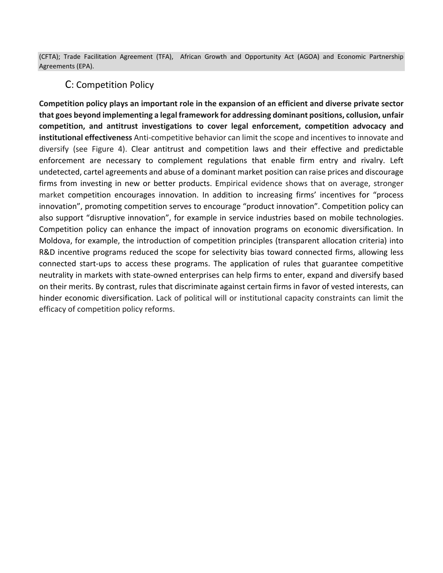(CFTA); Trade Facilitation Agreement (TFA), African Growth and Opportunity Act (AGOA) and Economic Partnership Agreements (EPA).

# C: Competition Policy

**Competition policy plays an important role in the expansion of an efficient and diverse private sector that goes beyond implementing a legal framework for addressing dominant positions, collusion, unfair competition, and antitrust investigations to cover legal enforcement, competition advocacy and institutional effectiveness** Anti-competitive behavior can limit the scope and incentives to innovate and diversify (see Figure 4). Clear antitrust and competition laws and their effective and predictable enforcement are necessary to complement regulations that enable firm entry and rivalry. Left undetected, cartel agreements and abuse of a dominant market position can raise prices and discourage firms from investing in new or better products. Empirical evidence shows that on average, stronger market competition encourages innovation. In addition to increasing firms' incentives for "process innovation", promoting competition serves to encourage "product innovation". Competition policy can also support "disruptive innovation", for example in service industries based on mobile technologies. Competition policy can enhance the impact of innovation programs on economic diversification. In Moldova, for example, the introduction of competition principles (transparent allocation criteria) into R&D incentive programs reduced the scope for selectivity bias toward connected firms, allowing less connected start-ups to access these programs. The application of rules that guarantee competitive neutrality in markets with state-owned enterprises can help firms to enter, expand and diversify based on their merits. By contrast, rules that discriminate against certain firms in favor of vested interests, can hinder economic diversification. Lack of political will or institutional capacity constraints can limit the efficacy of competition policy reforms.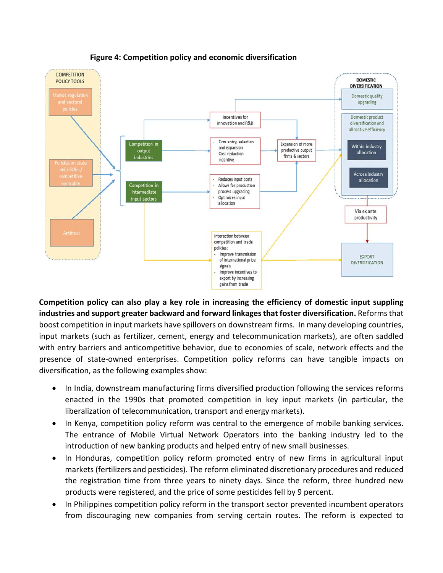![](_page_20_Figure_0.jpeg)

 **Figure 4: Competition policy and economic diversification**

**Competition policy can also play a key role in increasing the efficiency of domestic input suppling industries and support greater backward and forward linkages that foster diversification.** Reforms that boost competition in input markets have spillovers on downstream firms. In many developing countries, input markets (such as fertilizer, cement, energy and telecommunication markets), are often saddled with entry barriers and anticompetitive behavior, due to economies of scale, network effects and the presence of state-owned enterprises. Competition policy reforms can have tangible impacts on diversification, as the following examples show:

- In India, downstream manufacturing firms diversified production following the services reforms enacted in the 1990s that promoted competition in key input markets (in particular, the liberalization of telecommunication, transport and energy markets).
- In Kenya, competition policy reform was central to the emergence of mobile banking services. The entrance of Mobile Virtual Network Operators into the banking industry led to the introduction of new banking products and helped entry of new small businesses.
- In Honduras, competition policy reform promoted entry of new firms in agricultural input markets (fertilizers and pesticides). The reform eliminated discretionary procedures and reduced the registration time from three years to ninety days. Since the reform, three hundred new products were registered, and the price of some pesticides fell by 9 percent.
- In Philippines competition policy reform in the transport sector prevented incumbent operators from discouraging new companies from serving certain routes. The reform is expected to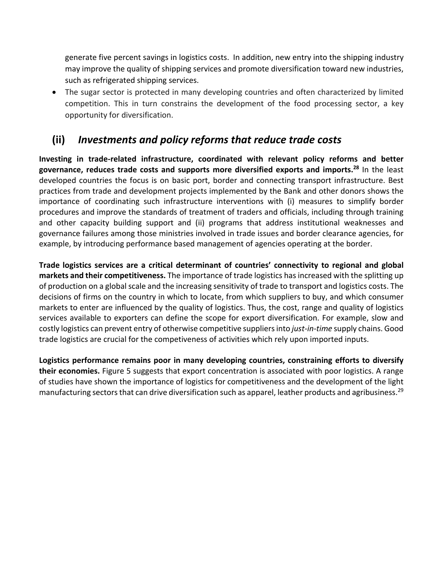generate five percent savings in logistics costs. In addition, new entry into the shipping industry may improve the quality of shipping services and promote diversification toward new industries, such as refrigerated shipping services.

 The sugar sector is protected in many developing countries and often characterized by limited competition. This in turn constrains the development of the food processing sector, a key opportunity for diversification.

# **(ii)** *Investments and policy reforms that reduce trade costs*

**Investing in trade-related infrastructure, coordinated with relevant policy reforms and better governance, reduces trade costs and supports more diversified exports and imports.28** In the least developed countries the focus is on basic port, border and connecting transport infrastructure. Best practices from trade and development projects implemented by the Bank and other donors shows the importance of coordinating such infrastructure interventions with (i) measures to simplify border procedures and improve the standards of treatment of traders and officials, including through training and other capacity building support and (ii) programs that address institutional weaknesses and governance failures among those ministries involved in trade issues and border clearance agencies, for example, by introducing performance based management of agencies operating at the border.

**Trade logistics services are a critical determinant of countries' connectivity to regional and global markets and their competitiveness.** The importance of trade logistics has increased with the splitting up of production on a global scale and the increasing sensitivity of trade to transport and logistics costs. The decisions of firms on the country in which to locate, from which suppliers to buy, and which consumer markets to enter are influenced by the quality of logistics. Thus, the cost, range and quality of logistics services available to exporters can define the scope for export diversification. For example, slow and costly logistics can prevent entry of otherwise competitive suppliers into *just-in-time* supply chains. Good trade logistics are crucial for the competiveness of activities which rely upon imported inputs.

**Logistics performance remains poor in many developing countries, constraining efforts to diversify their economies.** Figure 5 suggests that export concentration is associated with poor logistics. A range of studies have shown the importance of logistics for competitiveness and the development of the light manufacturing sectors that can drive diversification such as apparel, leather products and agribusiness.<sup>29</sup>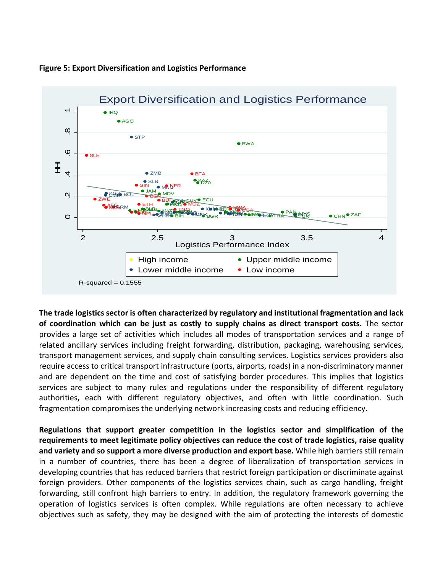### **Figure 5: Export Diversification and Logistics Performance**

![](_page_22_Figure_1.jpeg)

**The trade logistics sector is often characterized by regulatory and institutional fragmentation and lack of coordination which can be just as costly to supply chains as direct transport costs.** The sector provides a large set of activities which includes all modes of transportation services and a range of related ancillary services including freight forwarding, distribution, packaging, warehousing services, transport management services, and supply chain consulting services. Logistics services providers also require access to critical transport infrastructure (ports, airports, roads) in a non-discriminatory manner and are dependent on the time and cost of satisfying border procedures. This implies that logistics services are subject to many rules and regulations under the responsibility of different regulatory authorities**,** each with different regulatory objectives, and often with little coordination. Such fragmentation compromises the underlying network increasing costs and reducing efficiency.

**Regulations that support greater competition in the logistics sector and simplification of the requirements to meet legitimate policy objectives can reduce the cost of trade logistics, raise quality and variety and so support a more diverse production and export base.** While high barriers still remain in a number of countries, there has been a degree of liberalization of transportation services in developing countries that has reduced barriers that restrict foreign participation or discriminate against foreign providers. Other components of the logistics services chain, such as cargo handling, freight forwarding, still confront high barriers to entry. In addition, the regulatory framework governing the operation of logistics services is often complex. While regulations are often necessary to achieve objectives such as safety, they may be designed with the aim of protecting the interests of domestic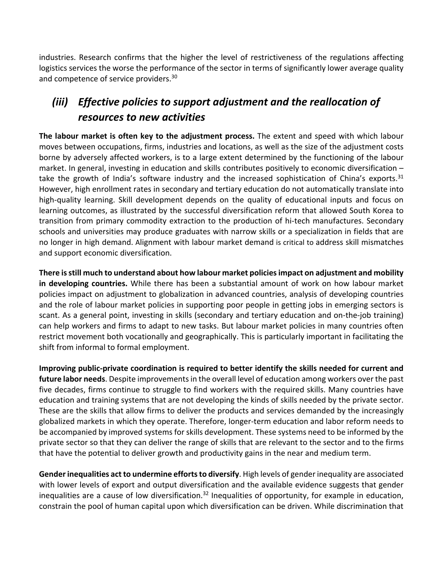industries. Research confirms that the higher the level of restrictiveness of the regulations affecting logistics services the worse the performance of the sector in terms of significantly lower average quality and competence of service providers.30

# *(iii) Effective policies to support adjustment and the reallocation of resources to new activities*

**The labour market is often key to the adjustment process.** The extent and speed with which labour moves between occupations, firms, industries and locations, as well as the size of the adjustment costs borne by adversely affected workers, is to a large extent determined by the functioning of the labour market. In general, investing in education and skills contributes positively to economic diversification – take the growth of India's software industry and the increased sophistication of China's exports.<sup>31</sup> However, high enrollment rates in secondary and tertiary education do not automatically translate into high-quality learning. Skill development depends on the quality of educational inputs and focus on learning outcomes, as illustrated by the successful diversification reform that allowed South Korea to transition from primary commodity extraction to the production of hi-tech manufactures. Secondary schools and universities may produce graduates with narrow skills or a specialization in fields that are no longer in high demand. Alignment with labour market demand is critical to address skill mismatches and support economic diversification.

**There is still much to understand about how labour market policies impact on adjustment and mobility in developing countries.** While there has been a substantial amount of work on how labour market policies impact on adjustment to globalization in advanced countries, analysis of developing countries and the role of labour market policies in supporting poor people in getting jobs in emerging sectors is scant. As a general point, investing in skills (secondary and tertiary education and on-the-job training) can help workers and firms to adapt to new tasks. But labour market policies in many countries often restrict movement both vocationally and geographically. This is particularly important in facilitating the shift from informal to formal employment.

**Improving public-private coordination is required to better identify the skills needed for current and future labor needs**. Despite improvements in the overall level of education among workers over the past five decades, firms continue to struggle to find workers with the required skills. Many countries have education and training systems that are not developing the kinds of skills needed by the private sector. These are the skills that allow firms to deliver the products and services demanded by the increasingly globalized markets in which they operate. Therefore, longer-term education and labor reform needs to be accompanied by improved systems for skills development. These systems need to be informed by the private sector so that they can deliver the range of skills that are relevant to the sector and to the firms that have the potential to deliver growth and productivity gains in the near and medium term.

**Gender inequalities act to undermine efforts to diversify**. High levels of gender inequality are associated with lower levels of export and output diversification and the available evidence suggests that gender inequalities are a cause of low diversification.<sup>32</sup> Inequalities of opportunity, for example in education, constrain the pool of human capital upon which diversification can be driven. While discrimination that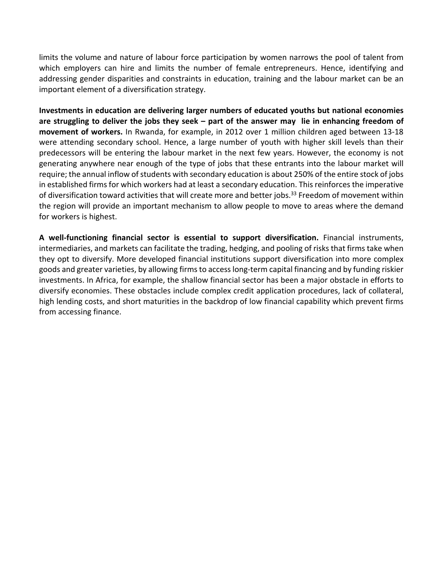limits the volume and nature of labour force participation by women narrows the pool of talent from which employers can hire and limits the number of female entrepreneurs. Hence, identifying and addressing gender disparities and constraints in education, training and the labour market can be an important element of a diversification strategy.

**Investments in education are delivering larger numbers of educated youths but national economies are struggling to deliver the jobs they seek – part of the answer may lie in enhancing freedom of movement of workers.** In Rwanda, for example, in 2012 over 1 million children aged between 13-18 were attending secondary school. Hence, a large number of youth with higher skill levels than their predecessors will be entering the labour market in the next few years. However, the economy is not generating anywhere near enough of the type of jobs that these entrants into the labour market will require; the annual inflow of students with secondary education is about 250% of the entire stock of jobs in established firms for which workers had at least a secondary education. This reinforces the imperative of diversification toward activities that will create more and better jobs.<sup>33</sup> Freedom of movement within the region will provide an important mechanism to allow people to move to areas where the demand for workers is highest.

**A well-functioning financial sector is essential to support diversification.** Financial instruments, intermediaries, and markets can facilitate the trading, hedging, and pooling of risks that firms take when they opt to diversify. More developed financial institutions support diversification into more complex goods and greater varieties, by allowing firms to access long-term capital financing and by funding riskier investments. In Africa, for example, the shallow financial sector has been a major obstacle in efforts to diversify economies. These obstacles include complex credit application procedures, lack of collateral, high lending costs, and short maturities in the backdrop of low financial capability which prevent firms from accessing finance.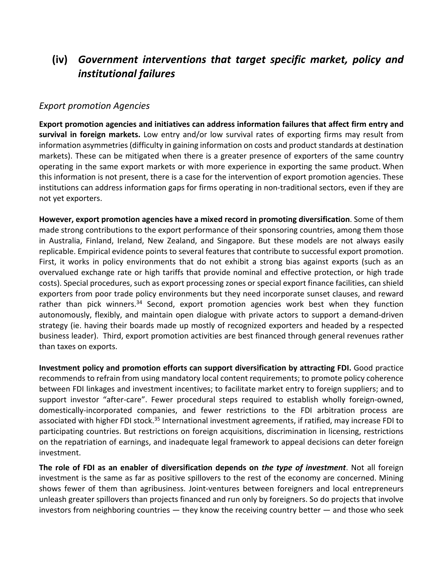# **(iv)** *Government interventions that target specific market, policy and institutional failures*

### *Export promotion Agencies*

**Export promotion agencies and initiatives can address information failures that affect firm entry and survival in foreign markets.** Low entry and/or low survival rates of exporting firms may result from information asymmetries (difficulty in gaining information on costs and product standards at destination markets). These can be mitigated when there is a greater presence of exporters of the same country operating in the same export markets or with more experience in exporting the same product. When this information is not present, there is a case for the intervention of export promotion agencies. These institutions can address information gaps for firms operating in non-traditional sectors, even if they are not yet exporters.

**However, export promotion agencies have a mixed record in promoting diversification**. Some of them made strong contributions to the export performance of their sponsoring countries, among them those in Australia, Finland, Ireland, New Zealand, and Singapore. But these models are not always easily replicable. Empirical evidence points to several features that contribute to successful export promotion. First, it works in policy environments that do not exhibit a strong bias against exports (such as an overvalued exchange rate or high tariffs that provide nominal and effective protection, or high trade costs). Special procedures, such as export processing zones or special export finance facilities, can shield exporters from poor trade policy environments but they need incorporate sunset clauses, and reward rather than pick winners.<sup>34</sup> Second, export promotion agencies work best when they function autonomously, flexibly, and maintain open dialogue with private actors to support a demand-driven strategy (ie. having their boards made up mostly of recognized exporters and headed by a respected business leader). Third, export promotion activities are best financed through general revenues rather than taxes on exports.

**Investment policy and promotion efforts can support diversification by attracting FDI. Good practice** recommends to refrain from using mandatory local content requirements; to promote policy coherence between FDI linkages and investment incentives; to facilitate market entry to foreign suppliers; and to support investor "after-care". Fewer procedural steps required to establish wholly foreign-owned, domestically-incorporated companies, and fewer restrictions to the FDI arbitration process are associated with higher FDI stock.<sup>35</sup> International investment agreements, if ratified, may increase FDI to participating countries. But restrictions on foreign acquisitions, discrimination in licensing, restrictions on the repatriation of earnings, and inadequate legal framework to appeal decisions can deter foreign investment.

**The role of FDI as an enabler of diversification depends on** *the type of investment*. Not all foreign investment is the same as far as positive spillovers to the rest of the economy are concerned. Mining shows fewer of them than agribusiness. Joint-ventures between foreigners and local entrepreneurs unleash greater spillovers than projects financed and run only by foreigners. So do projects that involve investors from neighboring countries  $-$  they know the receiving country better  $-$  and those who seek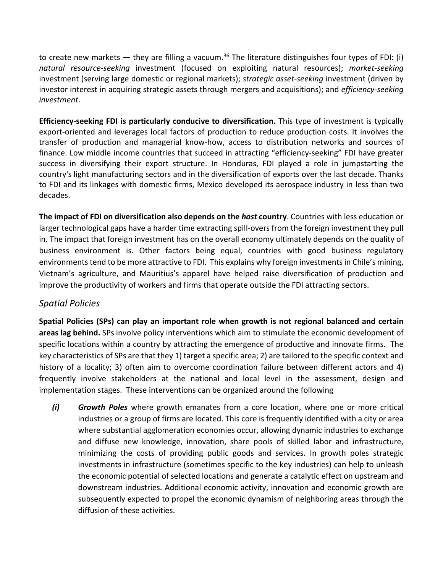to create new markets  $-$  they are filling a vacuum.<sup>36</sup> The literature distinguishes four types of FDI: (i) *natural resource-seeking* investment (focused on exploiting natural resources); *market-seeking* investment (serving large domestic or regional markets); *strategic asset-seeking* investment (driven by investor interest in acquiring strategic assets through mergers and acquisitions); and *efficiency-seeking investment*.

**Efficiency-seeking FDI is particularly conducive to diversification.** This type of investment is typically export-oriented and leverages local factors of production to reduce production costs. It involves the transfer of production and managerial know-how, access to distribution networks and sources of finance. Low middle income countries that succeed in attracting "efficiency-seeking" FDI have greater success in diversifying their export structure. In Honduras, FDI played a role in jumpstarting the country's light manufacturing sectors and in the diversification of exports over the last decade. Thanks to FDI and its linkages with domestic firms, Mexico developed its aerospace industry in less than two decades.

**The impact of FDI on diversification also depends on the** *host* **country**. Countries with less education or larger technological gaps have a harder time extracting spill-overs from the foreign investment they pull in. The impact that foreign investment has on the overall economy ultimately depends on the quality of business environment is. Other factors being equal, countries with good business regulatory environments tend to be more attractive to FDI. This explains why foreign investments in Chile's mining, Vietnam's agriculture, and Mauritius's apparel have helped raise diversification of production and improve the productivity of workers and firms that operate outside the FDI attracting sectors.

### *Spatial Policies*

**Spatial Policies (SPs) can play an important role when growth is not regional balanced and certain areas lag behind.** SPs involve policy interventions which aim to stimulate the economic development of specific locations within a country by attracting the emergence of productive and innovate firms. The key characteristics of SPs are that they 1) target a specific area; 2) are tailored to the specific context and history of a locality; 3) often aim to overcome coordination failure between different actors and 4) frequently involve stakeholders at the national and local level in the assessment, design and implementation stages. These interventions can be organized around the following

*(i) Growth Poles* where growth emanates from a core location, where one or more critical industries or a group of firms are located. This core is frequently identified with a city or area where substantial agglomeration economies occur, allowing dynamic industries to exchange and diffuse new knowledge, innovation, share pools of skilled labor and infrastructure, minimizing the costs of providing public goods and services. In growth poles strategic investments in infrastructure (sometimes specific to the key industries) can help to unleash the economic potential of selected locations and generate a catalytic effect on upstream and downstream industries. Additional economic activity, innovation and economic growth are subsequently expected to propel the economic dynamism of neighboring areas through the diffusion of these activities.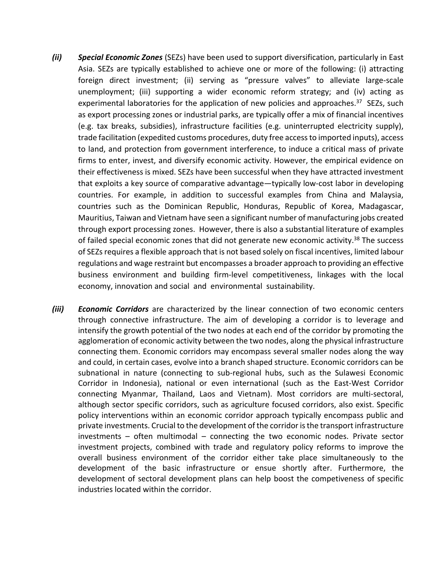- *(ii) Special Economic Zones* (SEZs) have been used to support diversification, particularly in East Asia. SEZs are typically established to achieve one or more of the following: (i) attracting foreign direct investment; (ii) serving as "pressure valves" to alleviate large-scale unemployment; (iii) supporting a wider economic reform strategy; and (iv) acting as experimental laboratories for the application of new policies and approaches.<sup>37</sup> SEZs, such as export processing zones or industrial parks, are typically offer a mix of financial incentives (e.g. tax breaks, subsidies), infrastructure facilities (e.g. uninterrupted electricity supply), trade facilitation (expedited customs procedures, duty free access to imported inputs), access to land, and protection from government interference, to induce a critical mass of private firms to enter, invest, and diversify economic activity. However, the empirical evidence on their effectiveness is mixed. SEZs have been successful when they have attracted investment that exploits a key source of comparative advantage—typically low-cost labor in developing countries. For example, in addition to successful examples from China and Malaysia, countries such as the Dominican Republic, Honduras, Republic of Korea, Madagascar, Mauritius, Taiwan and Vietnam have seen a significant number of manufacturing jobs created through export processing zones. However, there is also a substantial literature of examples of failed special economic zones that did not generate new economic activity.<sup>38</sup> The success of SEZs requires a flexible approach that is not based solely on fiscal incentives, limited labour regulations and wage restraint but encompasses a broader approach to providing an effective business environment and building firm-level competitiveness, linkages with the local economy, innovation and social and environmental sustainability.
- *(iii) Economic Corridors* are characterized by the linear connection of two economic centers through connective infrastructure. The aim of developing a corridor is to leverage and intensify the growth potential of the two nodes at each end of the corridor by promoting the agglomeration of economic activity between the two nodes, along the physical infrastructure connecting them. Economic corridors may encompass several smaller nodes along the way and could, in certain cases, evolve into a branch shaped structure. Economic corridors can be subnational in nature (connecting to sub-regional hubs, such as the Sulawesi Economic Corridor in Indonesia), national or even international (such as the East-West Corridor connecting Myanmar, Thailand, Laos and Vietnam). Most corridors are multi-sectoral, although sector specific corridors, such as agriculture focused corridors, also exist. Specific policy interventions within an economic corridor approach typically encompass public and private investments. Crucial to the development of the corridor is the transport infrastructure investments – often multimodal – connecting the two economic nodes. Private sector investment projects, combined with trade and regulatory policy reforms to improve the overall business environment of the corridor either take place simultaneously to the development of the basic infrastructure or ensue shortly after. Furthermore, the development of sectoral development plans can help boost the competiveness of specific industries located within the corridor.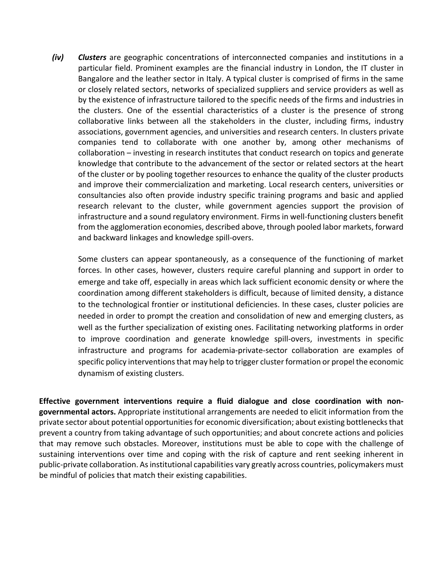*(iv) Clusters* are geographic concentrations of interconnected companies and institutions in a particular field. Prominent examples are the financial industry in London, the IT cluster in Bangalore and the leather sector in Italy. A typical cluster is comprised of firms in the same or closely related sectors, networks of specialized suppliers and service providers as well as by the existence of infrastructure tailored to the specific needs of the firms and industries in the clusters. One of the essential characteristics of a cluster is the presence of strong collaborative links between all the stakeholders in the cluster, including firms, industry associations, government agencies, and universities and research centers. In clusters private companies tend to collaborate with one another by, among other mechanisms of collaboration – investing in research institutes that conduct research on topics and generate knowledge that contribute to the advancement of the sector or related sectors at the heart of the cluster or by pooling together resources to enhance the quality of the cluster products and improve their commercialization and marketing. Local research centers, universities or consultancies also often provide industry specific training programs and basic and applied research relevant to the cluster, while government agencies support the provision of infrastructure and a sound regulatory environment. Firms in well-functioning clusters benefit from the agglomeration economies, described above, through pooled labor markets, forward and backward linkages and knowledge spill-overs.

Some clusters can appear spontaneously, as a consequence of the functioning of market forces. In other cases, however, clusters require careful planning and support in order to emerge and take off, especially in areas which lack sufficient economic density or where the coordination among different stakeholders is difficult, because of limited density, a distance to the technological frontier or institutional deficiencies. In these cases, cluster policies are needed in order to prompt the creation and consolidation of new and emerging clusters, as well as the further specialization of existing ones. Facilitating networking platforms in order to improve coordination and generate knowledge spill-overs, investments in specific infrastructure and programs for academia-private-sector collaboration are examples of specific policy interventions that may help to trigger cluster formation or propel the economic dynamism of existing clusters.

**Effective government interventions require a fluid dialogue and close coordination with nongovernmental actors.** Appropriate institutional arrangements are needed to elicit information from the private sector about potential opportunities for economic diversification; about existing bottlenecks that prevent a country from taking advantage of such opportunities; and about concrete actions and policies that may remove such obstacles. Moreover, institutions must be able to cope with the challenge of sustaining interventions over time and coping with the risk of capture and rent seeking inherent in public-private collaboration. As institutional capabilities vary greatly across countries, policymakers must be mindful of policies that match their existing capabilities.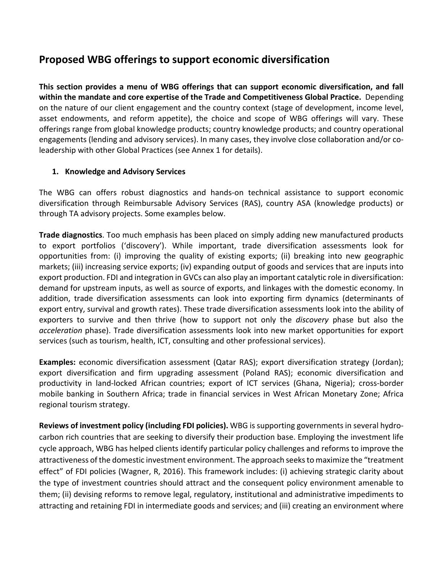# **Proposed WBG offerings to support economic diversification**

**This section provides a menu of WBG offerings that can support economic diversification, and fall within the mandate and core expertise of the Trade and Competitiveness Global Practice.** Depending on the nature of our client engagement and the country context (stage of development, income level, asset endowments, and reform appetite), the choice and scope of WBG offerings will vary. These offerings range from global knowledge products; country knowledge products; and country operational engagements (lending and advisory services). In many cases, they involve close collaboration and/or coleadership with other Global Practices (see Annex 1 for details).

### **1. Knowledge and Advisory Services**

The WBG can offers robust diagnostics and hands-on technical assistance to support economic diversification through Reimbursable Advisory Services (RAS), country ASA (knowledge products) or through TA advisory projects. Some examples below.

**Trade diagnostics**. Too much emphasis has been placed on simply adding new manufactured products to export portfolios ('discovery'). While important, trade diversification assessments look for opportunities from: (i) improving the quality of existing exports; (ii) breaking into new geographic markets; (iii) increasing service exports; (iv) expanding output of goods and services that are inputs into export production. FDI and integration in GVCs can also play an important catalytic role in diversification: demand for upstream inputs, as well as source of exports, and linkages with the domestic economy. In addition, trade diversification assessments can look into exporting firm dynamics (determinants of export entry, survival and growth rates). These trade diversification assessments look into the ability of exporters to survive and then thrive (how to support not only the *discovery* phase but also the *acceleration* phase). Trade diversification assessments look into new market opportunities for export services (such as tourism, health, ICT, consulting and other professional services).

**Examples:** economic diversification assessment (Qatar RAS); export diversification strategy (Jordan); export diversification and firm upgrading assessment (Poland RAS); economic diversification and productivity in land-locked African countries; export of ICT services (Ghana, Nigeria); cross-border mobile banking in Southern Africa; trade in financial services in West African Monetary Zone; Africa regional tourism strategy.

**Reviews of investment policy (including FDI policies).** WBG is supporting governments in several hydrocarbon rich countries that are seeking to diversify their production base. Employing the investment life cycle approach, WBG has helped clients identify particular policy challenges and reforms to improve the attractiveness of the domestic investment environment. The approach seeks to maximize the "treatment effect" of FDI policies (Wagner, R, 2016). This framework includes: (i) achieving strategic clarity about the type of investment countries should attract and the consequent policy environment amenable to them; (ii) devising reforms to remove legal, regulatory, institutional and administrative impediments to attracting and retaining FDI in intermediate goods and services; and (iii) creating an environment where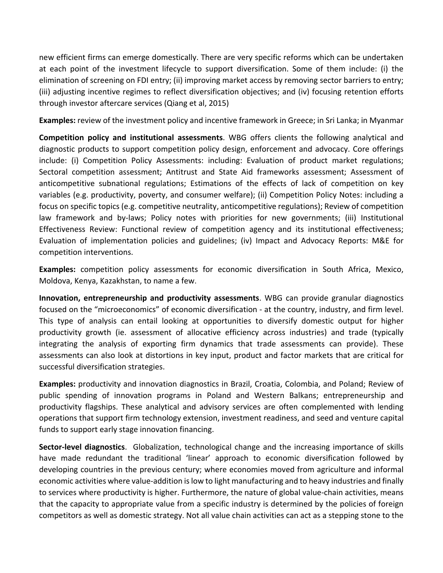new efficient firms can emerge domestically. There are very specific reforms which can be undertaken at each point of the investment lifecycle to support diversification. Some of them include: (i) the elimination of screening on FDI entry; (ii) improving market access by removing sector barriers to entry; (iii) adjusting incentive regimes to reflect diversification objectives; and (iv) focusing retention efforts through investor aftercare services (Qiang et al, 2015)

**Examples:** review of the investment policy and incentive framework in Greece; in Sri Lanka; in Myanmar

**Competition policy and institutional assessments**. WBG offers clients the following analytical and diagnostic products to support competition policy design, enforcement and advocacy. Core offerings include: (i) Competition Policy Assessments: including: Evaluation of product market regulations; Sectoral competition assessment; Antitrust and State Aid frameworks assessment; Assessment of anticompetitive subnational regulations; Estimations of the effects of lack of competition on key variables (e.g. productivity, poverty, and consumer welfare); (ii) Competition Policy Notes: including a focus on specific topics (e.g. competitive neutrality, anticompetitive regulations); Review of competition law framework and by-laws; Policy notes with priorities for new governments; (iii) Institutional Effectiveness Review: Functional review of competition agency and its institutional effectiveness; Evaluation of implementation policies and guidelines; (iv) Impact and Advocacy Reports: M&E for competition interventions.

**Examples:** competition policy assessments for economic diversification in South Africa, Mexico, Moldova, Kenya, Kazakhstan, to name a few.

**Innovation, entrepreneurship and productivity assessments**. WBG can provide granular diagnostics focused on the "microeconomics" of economic diversification - at the country, industry, and firm level. This type of analysis can entail looking at opportunities to diversify domestic output for higher productivity growth (ie. assessment of allocative efficiency across industries) and trade (typically integrating the analysis of exporting firm dynamics that trade assessments can provide). These assessments can also look at distortions in key input, product and factor markets that are critical for successful diversification strategies.

**Examples:** productivity and innovation diagnostics in Brazil, Croatia, Colombia, and Poland; Review of public spending of innovation programs in Poland and Western Balkans; entrepreneurship and productivity flagships. These analytical and advisory services are often complemented with lending operations that support firm technology extension, investment readiness, and seed and venture capital funds to support early stage innovation financing.

**Sector-level diagnostics**. Globalization, technological change and the increasing importance of skills have made redundant the traditional 'linear' approach to economic diversification followed by developing countries in the previous century; where economies moved from agriculture and informal economic activities where value-addition is low to light manufacturing and to heavy industries and finally to services where productivity is higher. Furthermore, the nature of global value-chain activities, means that the capacity to appropriate value from a specific industry is determined by the policies of foreign competitors as well as domestic strategy. Not all value chain activities can act as a stepping stone to the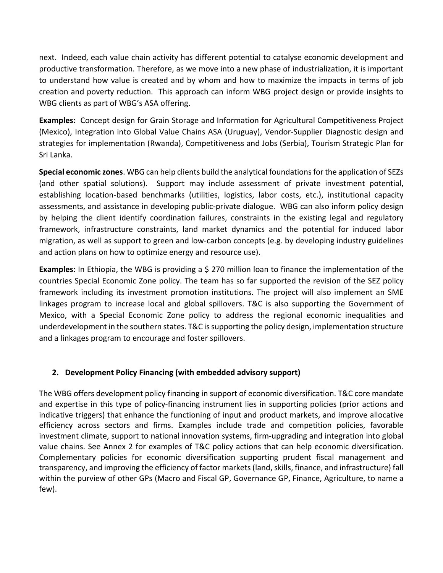next. Indeed, each value chain activity has different potential to catalyse economic development and productive transformation. Therefore, as we move into a new phase of industrialization, it is important to understand how value is created and by whom and how to maximize the impacts in terms of job creation and poverty reduction. This approach can inform WBG project design or provide insights to WBG clients as part of WBG's ASA offering.

**Examples:** Concept design for Grain Storage and Information for Agricultural Competitiveness Project (Mexico), Integration into Global Value Chains ASA (Uruguay), Vendor-Supplier Diagnostic design and strategies for implementation (Rwanda), Competitiveness and Jobs (Serbia), Tourism Strategic Plan for Sri Lanka.

**Special economic zones**. WBG can help clients build the analytical foundations for the application of SEZs (and other spatial solutions). Support may include assessment of private investment potential, establishing location-based benchmarks (utilities, logistics, labor costs, etc.), institutional capacity assessments, and assistance in developing public-private dialogue. WBG can also inform policy design by helping the client identify coordination failures, constraints in the existing legal and regulatory framework, infrastructure constraints, land market dynamics and the potential for induced labor migration, as well as support to green and low-carbon concepts (e.g. by developing industry guidelines and action plans on how to optimize energy and resource use).

**Examples**: In Ethiopia, the WBG is providing a \$ 270 million loan to finance the implementation of the countries Special Economic Zone policy. The team has so far supported the revision of the SEZ policy framework including its investment promotion institutions. The project will also implement an SME linkages program to increase local and global spillovers. T&C is also supporting the Government of Mexico, with a Special Economic Zone policy to address the regional economic inequalities and underdevelopment in the southern states. T&C is supporting the policy design, implementation structure and a linkages program to encourage and foster spillovers.

### **2. Development Policy Financing (with embedded advisory support)**

The WBG offers development policy financing in support of economic diversification. T&C core mandate and expertise in this type of policy-financing instrument lies in supporting policies (prior actions and indicative triggers) that enhance the functioning of input and product markets, and improve allocative efficiency across sectors and firms. Examples include trade and competition policies, favorable investment climate, support to national innovation systems, firm-upgrading and integration into global value chains. See Annex 2 for examples of T&C policy actions that can help economic diversification. Complementary policies for economic diversification supporting prudent fiscal management and transparency, and improving the efficiency of factor markets (land, skills, finance, and infrastructure) fall within the purview of other GPs (Macro and Fiscal GP, Governance GP, Finance, Agriculture, to name a few).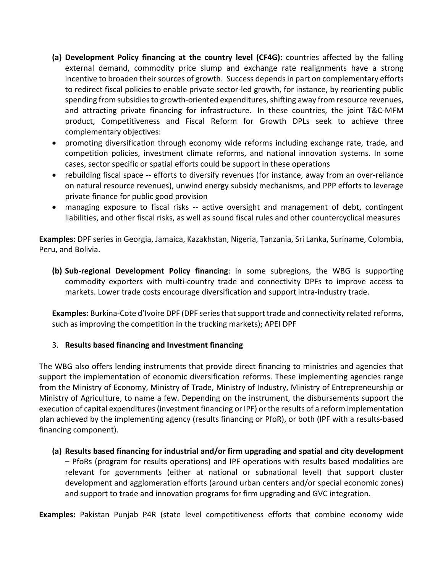- **(a) Development Policy financing at the country level (CF4G):** countries affected by the falling external demand, commodity price slump and exchange rate realignments have a strong incentive to broaden their sources of growth. Success depends in part on complementary efforts to redirect fiscal policies to enable private sector-led growth, for instance, by reorienting public spending from subsidies to growth-oriented expenditures, shifting away from resource revenues, and attracting private financing for infrastructure. In these countries, the joint T&C-MFM product, Competitiveness and Fiscal Reform for Growth DPLs seek to achieve three complementary objectives:
- promoting diversification through economy wide reforms including exchange rate, trade, and competition policies, investment climate reforms, and national innovation systems. In some cases, sector specific or spatial efforts could be support in these operations
- rebuilding fiscal space -- efforts to diversify revenues (for instance, away from an over-reliance on natural resource revenues), unwind energy subsidy mechanisms, and PPP efforts to leverage private finance for public good provision
- managing exposure to fiscal risks -- active oversight and management of debt, contingent liabilities, and other fiscal risks, as well as sound fiscal rules and other countercyclical measures

**Examples:** DPF series in Georgia, Jamaica, Kazakhstan, Nigeria, Tanzania, Sri Lanka, Suriname, Colombia, Peru, and Bolivia.

**(b) Sub-regional Development Policy financing**: in some subregions, the WBG is supporting commodity exporters with multi-country trade and connectivity DPFs to improve access to markets. Lower trade costs encourage diversification and support intra-industry trade.

**Examples:** Burkina-Cote d'Ivoire DPF (DPF series that support trade and connectivity related reforms, such as improving the competition in the trucking markets); APEI DPF

### 3. **Results based financing and Investment financing**

The WBG also offers lending instruments that provide direct financing to ministries and agencies that support the implementation of economic diversification reforms. These implementing agencies range from the Ministry of Economy, Ministry of Trade, Ministry of Industry, Ministry of Entrepreneurship or Ministry of Agriculture, to name a few. Depending on the instrument, the disbursements support the execution of capital expenditures (investment financing or IPF) or the results of a reform implementation plan achieved by the implementing agency (results financing or PfoR), or both (IPF with a results-based financing component).

**(a) Results based financing for industrial and/or firm upgrading and spatial and city development**  – PfoRs (program for results operations) and IPF operations with results based modalities are

relevant for governments (either at national or subnational level) that support cluster development and agglomeration efforts (around urban centers and/or special economic zones) and support to trade and innovation programs for firm upgrading and GVC integration.

**Examples:** Pakistan Punjab P4R (state level competitiveness efforts that combine economy wide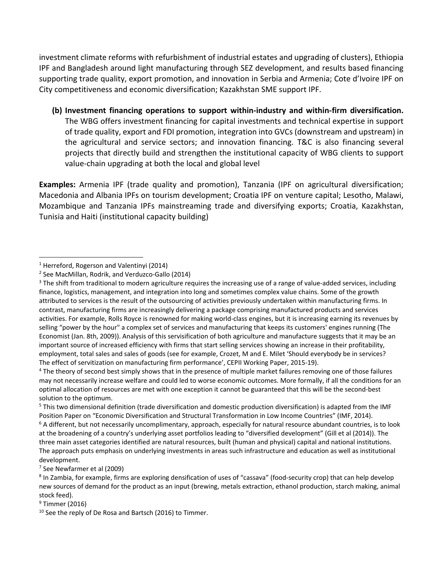investment climate reforms with refurbishment of industrial estates and upgrading of clusters), Ethiopia IPF and Bangladesh around light manufacturing through SEZ development, and results based financing supporting trade quality, export promotion, and innovation in Serbia and Armenia; Cote d'Ivoire IPF on City competitiveness and economic diversification; Kazakhstan SME support IPF.

**(b) Investment financing operations to support within-industry and within-firm diversification.**  The WBG offers investment financing for capital investments and technical expertise in support of trade quality, export and FDI promotion, integration into GVCs (downstream and upstream) in the agricultural and service sectors; and innovation financing. T&C is also financing several projects that directly build and strengthen the institutional capacity of WBG clients to support value-chain upgrading at both the local and global level

**Examples:** Armenia IPF (trade quality and promotion), Tanzania (IPF on agricultural diversification; Macedonia and Albania IPFs on tourism development; Croatia IPF on venture capital; Lesotho, Malawi, Mozambique and Tanzania IPFs mainstreaming trade and diversifying exports; Croatia, Kazakhstan, Tunisia and Haiti (institutional capacity building)

 $\overline{\phantom{a}}$ 

7 See Newfarmer et al (2009)

<sup>9</sup> Timmer (2016)

<sup>&</sup>lt;sup>1</sup> Herreford, Rogerson and Valentinyi (2014)

<sup>&</sup>lt;sup>2</sup> See MacMillan, Rodrik, and Verduzco-Gallo (2014)<br><sup>3</sup> The shift from traditional to modern agriculture req

<sup>&</sup>lt;sup>3</sup> The shift from traditional to modern agriculture requires the increasing use of a range of value-added services, including finance, logistics, management, and integration into long and sometimes complex value chains. Some of the growth attributed to services is the result of the outsourcing of activities previously undertaken within manufacturing firms. In contrast, manufacturing firms are increasingly delivering a package comprising manufactured products and services activities. For example, Rolls Royce is renowned for making world-class engines, but it is increasing earning its revenues by selling "power by the hour" a complex set of services and manufacturing that keeps its customers' engines running (The Economist (Jan. 8th, 2009)). Analysis of this servisification of both agriculture and manufacture suggests that it may be an important source of increased efficiency with firms that start selling services showing an increase in their profitability, employment, total sales and sales of goods (see for example, Crozet, M and E. Milet 'Should everybody be in services? The effect of servitization on manufacturing firm performance', CEPII Working Paper, 2015-19). 4

<sup>&</sup>lt;sup>4</sup> The theory of second best simply shows that in the presence of multiple market failures removing one of those failures may not necessarily increase welfare and could led to worse economic outcomes. More formally, if all the conditions for an optimal allocation of resources are met with one exception it cannot be guaranteed that this will be the second-best solution to the optimum.

<sup>&</sup>lt;sup>5</sup> This two dimensional definition (trade diversification and domestic production diversification) is adapted from the IMF Position Paper on "Economic Diversification and Structural Transformation in Low Income Countries" (IMF, 2014).  $6$  A different, but not necessarily uncomplimentary, approach, especially for natural resource abundant countries, is to look at the broadening of a country's underlying asset portfolios leading to "diversified development" (Gill et al (2014)). The three main asset categories identified are natural resources, built (human and physical) capital and national institutions. The approach puts emphasis on underlying investments in areas such infrastructure and education as well as institutional development.

<sup>&</sup>lt;sup>8</sup> In Zambia, for example, firms are exploring densification of uses of "cassava" (food-security crop) that can help develop new sources of demand for the product as an input (brewing, metals extraction, ethanol production, starch making, animal stock feed).

<sup>&</sup>lt;sup>10</sup> See the reply of De Rosa and Bartsch (2016) to Timmer.